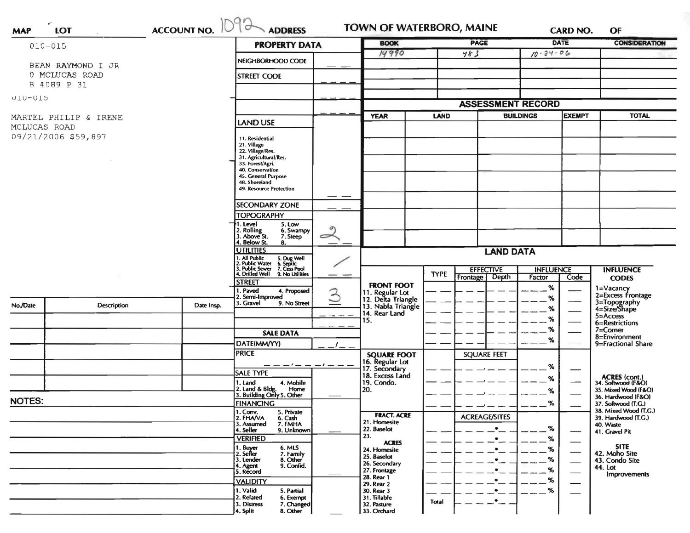| 1092<br><b>ACCOUNT NO.</b><br>LOT<br><b>MAP</b>    |                    |                                                     |                                                                                                   | <b>ADDRESS</b>     |                                                     |             | <b>TOWN OF WATERBORO, MAINE</b><br><b>PAGE</b> |                  | <b>DATE</b>              | <b>CONSIDERATION</b>                      |
|----------------------------------------------------|--------------------|-----------------------------------------------------|---------------------------------------------------------------------------------------------------|--------------------|-----------------------------------------------------|-------------|------------------------------------------------|------------------|--------------------------|-------------------------------------------|
| $010 - 015$<br>BEAN RAYMOND I JR<br>0 MCLUCAS ROAD |                    |                                                     | <b>PROPERTY DATA</b>                                                                              |                    | <b>BOOK</b><br>14990                                |             | 483                                            | $10 - 34 - 06$   |                          |                                           |
|                                                    |                    |                                                     | NEIGHBORHOOD CODE                                                                                 |                    |                                                     |             |                                                |                  |                          |                                           |
|                                                    |                    |                                                     | <b>STREET CODE</b>                                                                                |                    |                                                     |             |                                                |                  |                          |                                           |
|                                                    | B 4089 P 31        |                                                     |                                                                                                   |                    |                                                     |             |                                                |                  |                          |                                           |
| UT0-0T2                                            |                    |                                                     |                                                                                                   |                    |                                                     |             |                                                |                  |                          |                                           |
|                                                    |                    |                                                     |                                                                                                   |                    |                                                     |             | <b>ASSESSMENT RECORD</b>                       | <b>EXEMPT</b>    |                          | <b>TOTAL</b>                              |
| MARTEL PHILIP & IRENE                              |                    |                                                     | <b>LAND USE</b>                                                                                   |                    | <b>YEAR</b>                                         | <b>LAND</b> |                                                | <b>BUILDINGS</b> |                          |                                           |
| MCLUCAS ROAD<br>09/21/2006 \$59,897                |                    |                                                     | 11. Residential                                                                                   |                    |                                                     |             |                                                |                  |                          |                                           |
|                                                    |                    |                                                     | 21. Village                                                                                       |                    |                                                     |             |                                                |                  |                          |                                           |
|                                                    |                    |                                                     | 22. Village/Res.<br>31. Agricultural/Res.                                                         |                    |                                                     |             |                                                |                  |                          |                                           |
|                                                    |                    |                                                     | 33. Forest/Agri.<br>40. Conservation                                                              |                    |                                                     |             |                                                |                  |                          |                                           |
|                                                    |                    |                                                     | 45. General Purpose<br>48. Shoreland                                                              |                    |                                                     |             |                                                |                  |                          |                                           |
|                                                    |                    |                                                     | 49. Resource Protection                                                                           |                    |                                                     |             |                                                |                  |                          |                                           |
|                                                    |                    |                                                     | <b>SECONDARY ZONE</b>                                                                             | — —                |                                                     |             |                                                |                  |                          |                                           |
|                                                    |                    |                                                     | <b>TOPOGRAPHY</b>                                                                                 |                    |                                                     |             |                                                |                  |                          |                                           |
|                                                    |                    |                                                     | 1. Level<br>5. Low                                                                                |                    |                                                     |             |                                                |                  |                          |                                           |
|                                                    |                    | 2. Rolling<br>3. Above St.<br>6. Swampy<br>7. Steep | $\widetilde{\phantom{m}}$                                                                         |                    |                                                     |             |                                                |                  |                          |                                           |
|                                                    |                    |                                                     | 4. Below St.<br>8.<br><b>UTILITIES</b>                                                            |                    |                                                     |             |                                                |                  |                          |                                           |
|                                                    |                    |                                                     | 1. All Public                                                                                     |                    | <b>LAND DATA</b>                                    |             |                                                |                  |                          |                                           |
|                                                    |                    |                                                     | 5. Dug Well<br>6. Septic<br>7. Cess Pool<br>9. No Utilities<br>2. Public Water<br>3. Public Sewer |                    |                                                     |             | <b>EFFECTIVE</b><br><b>INFLUENCE</b>           |                  |                          | <b>INFLUENCE</b><br><b>CODES</b>          |
|                                                    |                    |                                                     | 4. Drilled Well<br><b>STREET</b>                                                                  |                    |                                                     | <b>TYPE</b> | Depth<br>Frontage                              | Factor           | Code                     |                                           |
|                                                    |                    |                                                     | 1. Paved<br>4. Proposed                                                                           | $\mathfrak{S}$     | <b>FRONT FOOT</b><br>11. Regular Lot                |             |                                                | %                |                          | 1=Vacancy<br>2=Excess Frontage            |
| No./Date                                           | <b>Description</b> | Date Insp.                                          | 2. Semi-Improved<br>3. Gravel<br>9. No Street                                                     |                    | 12. Delta Triangle<br>13. Nabla Triangle            |             |                                                | %                |                          | 3=Topography<br>4=Size/Shape              |
|                                                    |                    |                                                     |                                                                                                   |                    | 14. Rear Land                                       |             |                                                | %                |                          | 5=Access                                  |
|                                                    |                    |                                                     |                                                                                                   |                    | 15.                                                 |             |                                                | ℅                |                          | 6=Restrictions                            |
|                                                    |                    |                                                     | <b>SALE DATA</b>                                                                                  |                    |                                                     |             |                                                | %                |                          | $7 =$ Corner<br>8=Environment             |
|                                                    |                    |                                                     | DATE(MM/YY)                                                                                       |                    |                                                     |             |                                                | %                | 9=Fractional Share       |                                           |
|                                                    |                    |                                                     | <b>PRICE</b>                                                                                      |                    | <b>SQUARE FOOT</b>                                  |             | <b>SQUARE FEET</b>                             |                  |                          |                                           |
|                                                    |                    |                                                     | $-1$ $-$                                                                                          | $\sim\prime\,-\,-$ | 16. Regular Lot<br>17. Secondary<br>18. Excess Land |             |                                                | %                |                          |                                           |
|                                                    |                    |                                                     | <b>SALE TYPE</b><br>4. Mobile<br>1. Land                                                          |                    | 19. Condo.                                          |             |                                                | %                |                          | ACRES (cont.)<br>34. Softwood (F&O)       |
|                                                    |                    |                                                     | 2. Land & Bldg. Home<br>3. Building Only 5. Other<br>Home                                         |                    | 20.                                                 |             |                                                | %                |                          | 35. Mixed Wood (F&O)                      |
| <b>NOTES:</b>                                      |                    |                                                     | <b>FINANCING</b>                                                                                  |                    |                                                     |             |                                                | %                |                          | 36. Hardwood (F&O)<br>37. Softwood (T.G.) |
|                                                    |                    |                                                     | 1. Conv.<br>5. Private                                                                            |                    | <b>FRACT. ACRE</b>                                  |             | <b>ACREAGE/SITES</b>                           |                  |                          | 38. Mixed Wood (T.G.)                     |
|                                                    |                    |                                                     | 2. FHAVA<br>6. Cash<br>3. Assumed<br>7. FMHA                                                      |                    | 21. Homesite                                        |             |                                                |                  |                          | 39. Hardwood (T.G.)<br>40. Waste          |
|                                                    |                    |                                                     | 4. Seller<br>9. Unknown<br><b>VERIFIED</b>                                                        |                    | 22. Baselot<br>23.                                  |             | $\bullet$<br>$\bullet$                         | %                |                          | 41. Gravel Pit                            |
|                                                    |                    |                                                     | 6. MLS<br>1. Buyer                                                                                |                    | <b>ACRES</b>                                        |             |                                                | %<br>%           |                          | <b>SITE</b>                               |
|                                                    |                    |                                                     | 2. Seller<br>7. Family<br>8. Other<br>3. Lender                                                   |                    | 24. Homesite<br>25. Baselot                         |             |                                                | %                |                          | 42. Moho Site<br>43. Condo Site           |
|                                                    |                    |                                                     | 9. Confid.<br>4. Agent                                                                            |                    | 26. Secondary<br>27. Frontage                       |             |                                                | %                |                          | 44. Lot                                   |
|                                                    |                    |                                                     | 5. Record                                                                                         |                    | 28. Rear 1                                          |             |                                                | %                | $\overline{\phantom{0}}$ | <b>Improvements</b>                       |
|                                                    |                    |                                                     | <b>VALIDITY</b><br>1. Valid<br>5. Partial                                                         |                    | 29. Rear 2<br>30. Rear 3                            |             |                                                | %                |                          |                                           |
|                                                    |                    |                                                     | 2. Related<br>6. Exempt                                                                           |                    | 31. Tillable                                        | Total       | $\bullet$                                      |                  |                          |                                           |
|                                                    |                    |                                                     | 3. Distress<br>7. Changed<br>4. Split<br>8. Other                                                 |                    | 32. Pasture<br>33. Orchard                          |             |                                                |                  |                          |                                           |